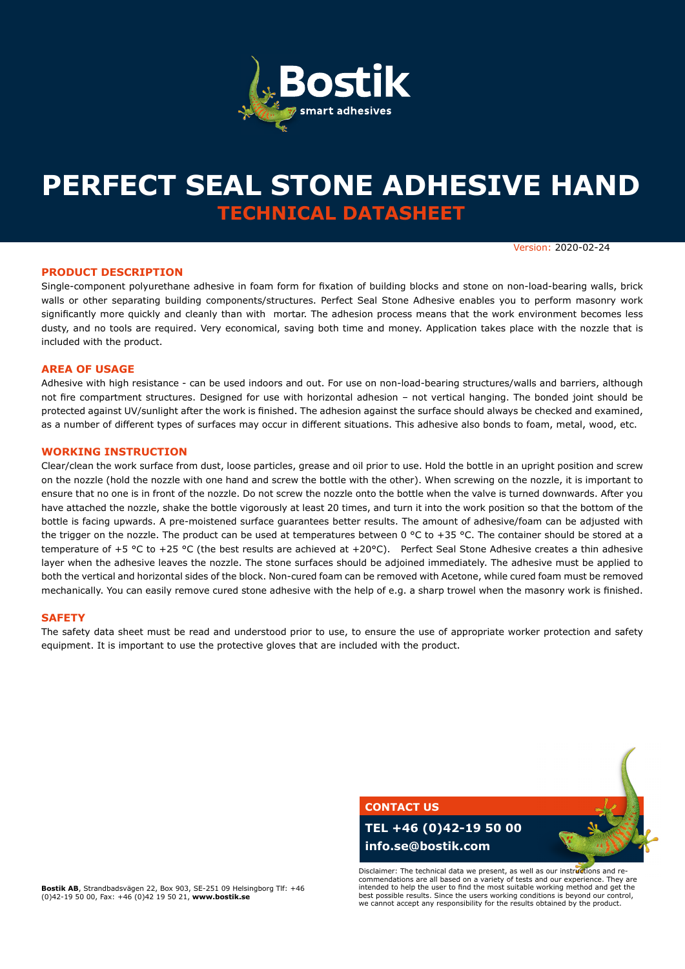

# **PERFECT SEAL STONE ADHESIVE HAND TECHNICAL DATASHEET**

Version: 2020-02-24

#### **PRODUCT DESCRIPTION**

Single-component polyurethane adhesive in foam form for fixation of building blocks and stone on non-load-bearing walls, brick walls or other separating building components/structures. Perfect Seal Stone Adhesive enables you to perform masonry work significantly more quickly and cleanly than with mortar. The adhesion process means that the work environment becomes less dusty, and no tools are required. Very economical, saving both time and money. Application takes place with the nozzle that is included with the product.

#### **AREA OF USAGE**

Adhesive with high resistance - can be used indoors and out. For use on non-load-bearing structures/walls and barriers, although not fire compartment structures. Designed for use with horizontal adhesion – not vertical hanging. The bonded joint should be protected against UV/sunlight after the work is finished. The adhesion against the surface should always be checked and examined, as a number of different types of surfaces may occur in different situations. This adhesive also bonds to foam, metal, wood, etc.

#### **WORKING INSTRUCTION**

Clear/clean the work surface from dust, loose particles, grease and oil prior to use. Hold the bottle in an upright position and screw on the nozzle (hold the nozzle with one hand and screw the bottle with the other). When screwing on the nozzle, it is important to ensure that no one is in front of the nozzle. Do not screw the nozzle onto the bottle when the valve is turned downwards. After you have attached the nozzle, shake the bottle vigorously at least 20 times, and turn it into the work position so that the bottom of the bottle is facing upwards. A pre-moistened surface guarantees better results. The amount of adhesive/foam can be adjusted with the trigger on the nozzle. The product can be used at temperatures between 0 °C to +35 °C. The container should be stored at a temperature of +5 °C to +25 °C (the best results are achieved at +20°C). Perfect Seal Stone Adhesive creates a thin adhesive layer when the adhesive leaves the nozzle. The stone surfaces should be adjoined immediately. The adhesive must be applied to both the vertical and horizontal sides of the block. Non-cured foam can be removed with Acetone, while cured foam must be removed mechanically. You can easily remove cured stone adhesive with the help of e.g. a sharp trowel when the masonry work is finished.

#### **SAFETY**

The safety data sheet must be read and understood prior to use, to ensure the use of appropriate worker protection and safety equipment. It is important to use the protective gloves that are included with the product.



**Bostik AB**, Strandbadsvägen 22, Box 903, SE-251 09 Helsingborg Tlf: +46 (0)42-19 50 00, Fax: +46 (0)42 19 50 21, **www.bostik.se**

commendations are all based on a variety of tests and our experience. They are intended to help the user to find the most suitable working method and get the best possible results. Since the users working conditions is beyond our control, we cannot accept any responsibility for the results obtained by the product.